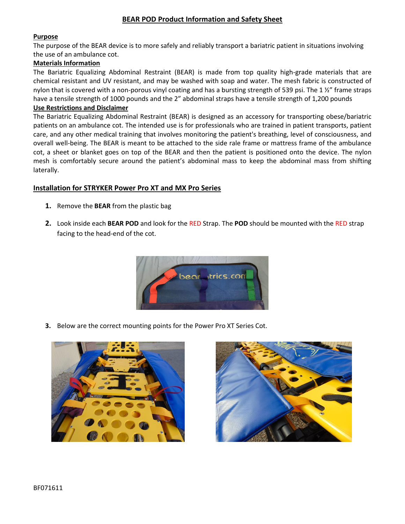## **BEAR POD Product Information and Safety Sheet**

## **Purpose**

The purpose of the BEAR device is to more safely and reliably transport a bariatric patient in situations involving the use of an ambulance cot.

## **Materials Information**

The Bariatric Equalizing Abdominal Restraint (BEAR) is made from top quality high-grade materials that are chemical resistant and UV resistant, and may be washed with soap and water. The mesh fabric is constructed of nylon that is covered with a non-porous vinyl coating and has a bursting strength of 539 psi. The 1 $\frac{1}{2}$ " frame straps have a tensile strength of 1000 pounds and the 2" abdominal straps have a tensile strength of 1,200 pounds

### **Use Restrictions and Disclaimer**

The Bariatric Equalizing Abdominal Restraint (BEAR) is designed as an accessory for transporting obese/bariatric patients on an ambulance cot. The intended use is for professionals who are trained in patient transports, patient care, and any other medical training that involves monitoring the patient's breathing, level of consciousness, and overall well-being. The BEAR is meant to be attached to the side rale frame or mattress frame of the ambulance cot, a sheet or blanket goes on top of the BEAR and then the patient is positioned onto the device. The nylon mesh is comfortably secure around the patient's abdominal mass to keep the abdominal mass from shifting laterally.

## **Installation for STRYKER Power Pro XT and MX Pro Series**

- **1.** Remove the **BEAR** from the plastic bag
- **2.** Look inside each **BEAR POD** and look for the RED Strap. The **POD** should be mounted with the RED strap facing to the head-end of the cot.



**3.** Below are the correct mounting points for the Power Pro XT Series Cot.



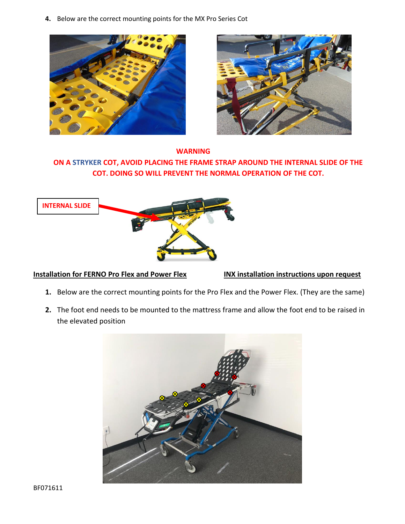**4.** Below are the correct mounting points for the MX Pro Series Cot





## **WARNING**

## **ON A STRYKER COT, AVOID PLACING THE FRAME STRAP AROUND THE INTERNAL SLIDE OF THE COT. DOING SO WILL PREVENT THE NORMAL OPERATION OF THE COT.**



## **Installation for FERNO Pro Flex and Power Flex INX installation instructions upon request**

- **1.** Below are the correct mounting points for the Pro Flex and the Power Flex. (They are the same)
- **2.** The foot end needs to be mounted to the mattress frame and allow the foot end to be raised in the elevated position

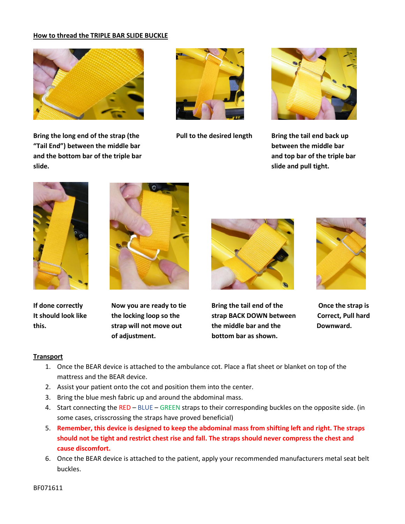## **How to thread the TRIPLE BAR SLIDE BUCKLE**



Bring the long end of the strap (the **Pull to the desired length** Bring the tail end back up **"Tail End") between the middle bar between the middle bar and the bottom bar of the triple bar and top bar of the triple bar slide. slide and pull tight.**









 **of adjustment. bottom bar as shown.**



If done correctly **Now you are ready to tie** Bring the tail end of the Once the strap is **It should look like the locking loop so the strap BACK DOWN between Correct, Pull hard this. strap will not move out the middle bar and the Downward.**



## **Transport**

- 1. Once the BEAR device is attached to the ambulance cot. Place a flat sheet or blanket on top of the mattress and the BEAR device.
- 2. Assist your patient onto the cot and position them into the center.
- 3. Bring the blue mesh fabric up and around the abdominal mass.
- 4. Start connecting the RED BLUE GREEN straps to their corresponding buckles on the opposite side. (in some cases, crisscrossing the straps have proved beneficial)
- 5. **Remember, this device is designed to keep the abdominal mass from shifting left and right. The straps should not be tight and restrict chest rise and fall. The straps should never compress the chest and cause discomfort.**
- 6. Once the BEAR device is attached to the patient, apply your recommended manufacturers metal seat belt buckles.